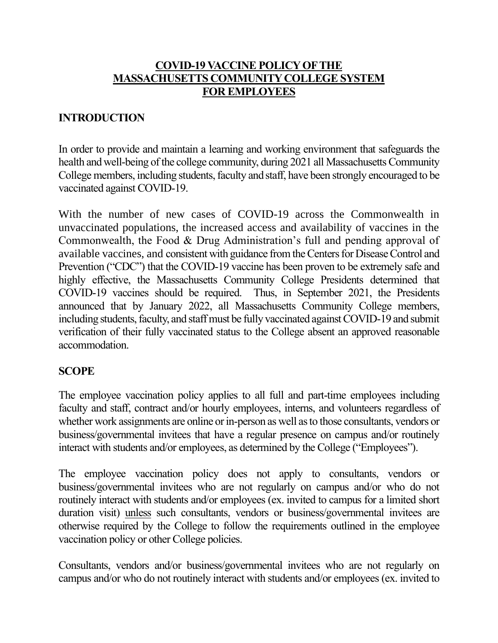## **COVID-19 VACCINE POLICY OF THE MASSACHUSETTS COMMUNITY COLLEGE SYSTEM FOR EMPLOYEES**

## **INTRODUCTION**

In order to provide and maintain a learning and working environment that safeguards the health and well-being of the college community, during 2021 all Massachusetts Community College members, including students, faculty and staff, have been strongly encouraged to be vaccinated against COVID-19.

With the number of new cases of COVID-19 across the Commonwealth in unvaccinated populations, the increased access and availability of vaccines in the Commonwealth, the Food & Drug Administration's full and pending approval of available vaccines, and consistent with guidance from the Centers for Disease Control and Prevention ("CDC") that the COVID-19 vaccine has been proven to be extremely safe and highly effective, the Massachusetts Community College Presidents determined that COVID-19 vaccines should be required. Thus, in September 2021, the Presidents announced that by January 2022, all Massachusetts Community College members, including students, faculty, and staff must be fully vaccinated against COVID-19 and submit verification of their fully vaccinated status to the College absent an approved reasonable accommodation.

#### **SCOPE**

The employee vaccination policy applies to all full and part-time employees including faculty and staff, contract and/or hourly employees, interns, and volunteers regardless of whether work assignments are online or in-person as well as to those consultants, vendors or business/governmental invitees that have a regular presence on campus and/or routinely interact with students and/or employees, as determined by the College ("Employees").

The employee vaccination policy does not apply to consultants, vendors or business/governmental invitees who are not regularly on campus and/or who do not routinely interact with students and/or employees (ex. invited to campus for a limited short duration visit) unless such consultants, vendors or business/governmental invitees are otherwise required by the College to follow the requirements outlined in the employee vaccination policy or other College policies.

Consultants, vendors and/or business/governmental invitees who are not regularly on campus and/or who do not routinely interact with students and/or employees (ex. invited to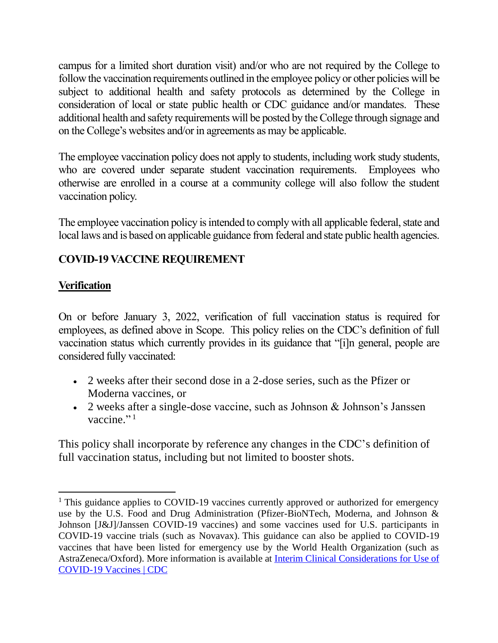campus for a limited short duration visit) and/or who are not required by the College to follow the vaccination requirements outlined in the employee policy or other policies will be subject to additional health and safety protocols as determined by the College in consideration of local or state public health or CDC guidance and/or mandates. These additional health and safety requirements will be posted by the College through signage and on the College's websites and/or in agreements as may be applicable.

The employee vaccination policy does not apply to students, including work study students, who are covered under separate student vaccination requirements. Employees who otherwise are enrolled in a course at a community college will also follow the student vaccination policy.

The employee vaccination policy is intended to comply with all applicable federal, state and local laws and is based on applicable guidance from federal and state public health agencies.

# **COVID-19 VACCINE REQUIREMENT**

## **Verification**

On or before January 3, 2022, verification of full vaccination status is required for employees, as defined above in Scope. This policy relies on the CDC's definition of full vaccination status which currently provides in its guidance that "[i]n general, people are considered fully vaccinated:

- 2 weeks after their second dose in a 2-dose series, such as the Pfizer or Moderna vaccines, or
- 2 weeks after a single-dose vaccine, such as Johnson & Johnson's Janssen vaccine."<sup>1</sup>

This policy shall incorporate by reference any changes in the CDC's definition of full vaccination status, including but not limited to booster shots.

<sup>&</sup>lt;sup>1</sup> This guidance applies to COVID-19 vaccines currently approved or authorized for emergency use by the U.S. Food and Drug Administration (Pfizer-BioNTech, Moderna, and Johnson & Johnson [J&J]/Janssen COVID-19 vaccines) and some vaccines used for U.S. participants in COVID-19 vaccine trials (such as Novavax). This guidance can also be applied to COVID-19 vaccines that have been listed for emergency use by the World Health Organization (such as AstraZeneca/Oxford). More information is available at [Interim Clinical Considerations for Use of](https://www.cdc.gov/vaccines/covid-19/clinical-considerations/covid-19-vaccines-us.html)  [COVID-19 Vaccines | CDC](https://www.cdc.gov/vaccines/covid-19/clinical-considerations/covid-19-vaccines-us.html)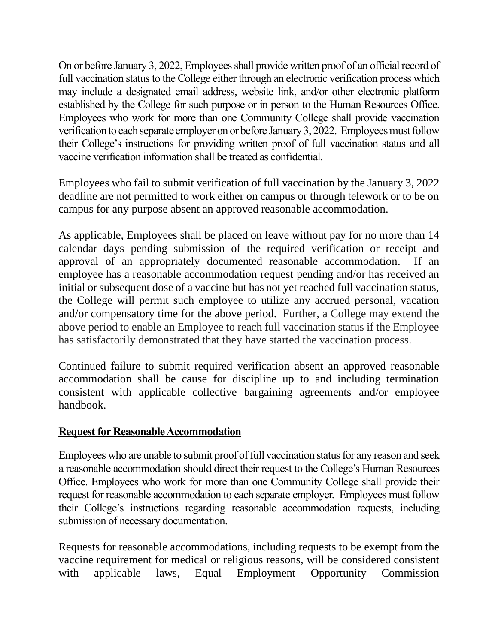On or before January 3, 2022, Employees shall provide written proof of an official record of full vaccination status to the College either through an electronic verification process which may include a designated email address, website link, and/or other electronic platform established by the College for such purpose or in person to the Human Resources Office. Employees who work for more than one Community College shall provide vaccination verification to each separate employer on or before January 3, 2022. Employees must follow their College's instructions for providing written proof of full vaccination status and all vaccine verification information shall be treated as confidential.

Employees who fail to submit verification of full vaccination by the January 3, 2022 deadline are not permitted to work either on campus or through telework or to be on campus for any purpose absent an approved reasonable accommodation.

As applicable, Employees shall be placed on leave without pay for no more than 14 calendar days pending submission of the required verification or receipt and approval of an appropriately documented reasonable accommodation. If an employee has a reasonable accommodation request pending and/or has received an initial or subsequent dose of a vaccine but has not yet reached full vaccination status, the College will permit such employee to utilize any accrued personal, vacation and/or compensatory time for the above period. Further, a College may extend the above period to enable an Employee to reach full vaccination status if the Employee has satisfactorily demonstrated that they have started the vaccination process.

Continued failure to submit required verification absent an approved reasonable accommodation shall be cause for discipline up to and including termination consistent with applicable collective bargaining agreements and/or employee handbook.

## **Request for Reasonable Accommodation**

Employees who are unable to submit proof of full vaccination status for any reason and seek a reasonable accommodation should direct their request to the College's Human Resources Office. Employees who work for more than one Community College shall provide their request for reasonable accommodation to each separate employer. Employees must follow their College's instructions regarding reasonable accommodation requests, including submission of necessary documentation.

Requests for reasonable accommodations, including requests to be exempt from the vaccine requirement for medical or religious reasons, will be considered consistent with applicable laws, Equal Employment Opportunity Commission